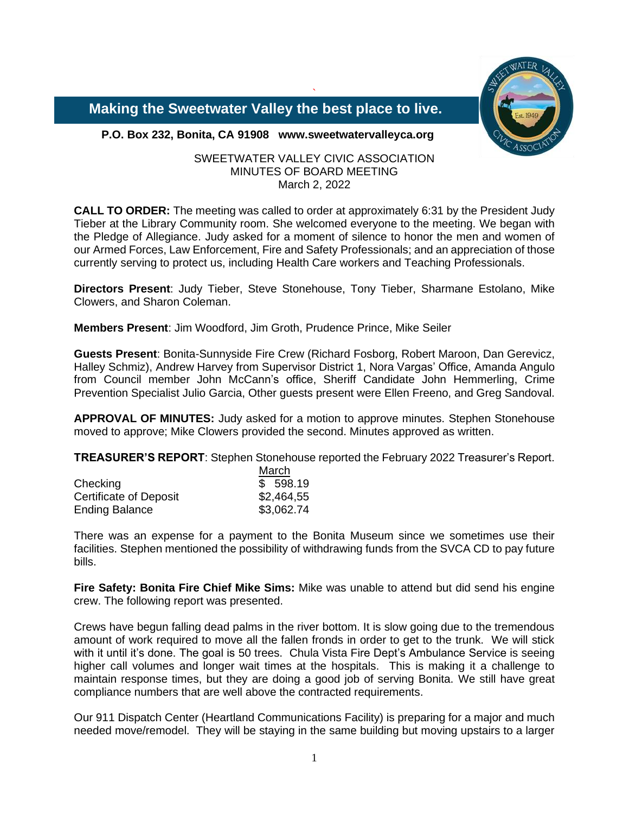

 **Making the Sweetwater Valley the best place to live.**

**P.O. Box 232, Bonita, CA 91908 www.sweetwatervalleyca.org**

# SWEETWATER VALLEY CIVIC ASSOCIATION MINUTES OF BOARD MEETING March 2, 2022

`

**CALL TO ORDER:** The meeting was called to order at approximately 6:31 by the President Judy Tieber at the Library Community room. She welcomed everyone to the meeting. We began with the Pledge of Allegiance. Judy asked for a moment of silence to honor the men and women of our Armed Forces, Law Enforcement, Fire and Safety Professionals; and an appreciation of those currently serving to protect us, including Health Care workers and Teaching Professionals.

**Directors Present**: Judy Tieber, Steve Stonehouse, Tony Tieber, Sharmane Estolano, Mike Clowers, and Sharon Coleman.

**Members Present**: Jim Woodford, Jim Groth, Prudence Prince, Mike Seiler

**Guests Present**: Bonita-Sunnyside Fire Crew (Richard Fosborg, Robert Maroon, Dan Gerevicz, Halley Schmiz), Andrew Harvey from Supervisor District 1, Nora Vargas' Office, Amanda Angulo from Council member John McCann's office, Sheriff Candidate John Hemmerling, Crime Prevention Specialist Julio Garcia, Other guests present were Ellen Freeno, and Greg Sandoval.

**APPROVAL OF MINUTES:** Judy asked for a motion to approve minutes. Stephen Stonehouse moved to approve; Mike Clowers provided the second. Minutes approved as written.

**TREASURER'S REPORT**: Stephen Stonehouse reported the February 2022 Treasurer's Report.

|                               | March      |
|-------------------------------|------------|
| Checking                      | \$598.19   |
| <b>Certificate of Deposit</b> | \$2,464,55 |
| <b>Ending Balance</b>         | \$3,062.74 |

There was an expense for a payment to the Bonita Museum since we sometimes use their facilities. Stephen mentioned the possibility of withdrawing funds from the SVCA CD to pay future bills.

**Fire Safety: Bonita Fire Chief Mike Sims:** Mike was unable to attend but did send his engine crew. The following report was presented.

Crews have begun falling dead palms in the river bottom. It is slow going due to the tremendous amount of work required to move all the fallen fronds in order to get to the trunk. We will stick with it until it's done. The goal is 50 trees. Chula Vista Fire Dept's Ambulance Service is seeing higher call volumes and longer wait times at the hospitals. This is making it a challenge to maintain response times, but they are doing a good job of serving Bonita. We still have great compliance numbers that are well above the contracted requirements.

Our 911 Dispatch Center (Heartland Communications Facility) is preparing for a major and much needed move/remodel. They will be staying in the same building but moving upstairs to a larger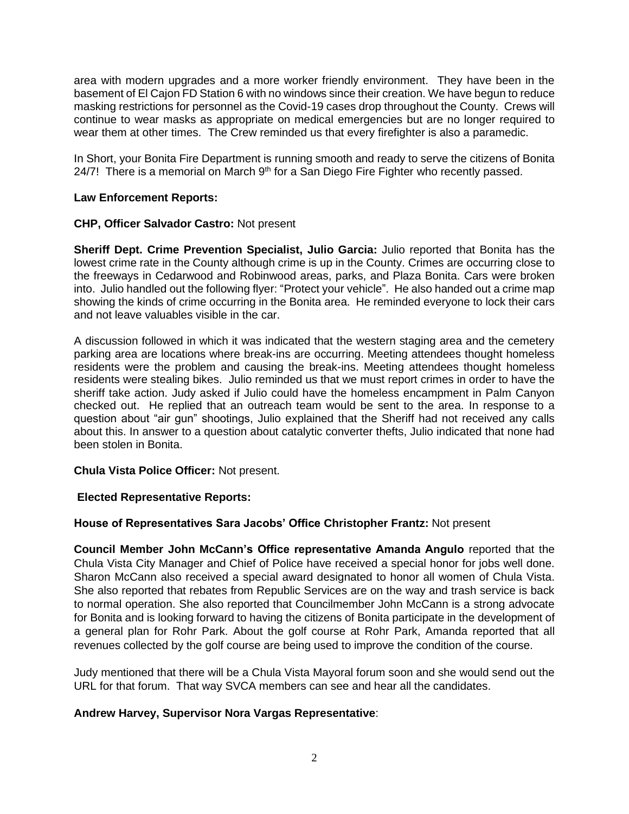area with modern upgrades and a more worker friendly environment. They have been in the basement of El Cajon FD Station 6 with no windows since their creation. We have begun to reduce masking restrictions for personnel as the Covid-19 cases drop throughout the County. Crews will continue to wear masks as appropriate on medical emergencies but are no longer required to wear them at other times. The Crew reminded us that every firefighter is also a paramedic.

In Short, your Bonita Fire Department is running smooth and ready to serve the citizens of Bonita  $24/7!$  There is a memorial on March  $9<sup>th</sup>$  for a San Diego Fire Fighter who recently passed.

## **Law Enforcement Reports:**

## **CHP, Officer Salvador Castro:** Not present

**Sheriff Dept. Crime Prevention Specialist, Julio Garcia:** Julio reported that Bonita has the lowest crime rate in the County although crime is up in the County. Crimes are occurring close to the freeways in Cedarwood and Robinwood areas, parks, and Plaza Bonita. Cars were broken into. Julio handled out the following flyer: "Protect your vehicle". He also handed out a crime map showing the kinds of crime occurring in the Bonita area. He reminded everyone to lock their cars and not leave valuables visible in the car.

A discussion followed in which it was indicated that the western staging area and the cemetery parking area are locations where break-ins are occurring. Meeting attendees thought homeless residents were the problem and causing the break-ins. Meeting attendees thought homeless residents were stealing bikes. Julio reminded us that we must report crimes in order to have the sheriff take action. Judy asked if Julio could have the homeless encampment in Palm Canyon checked out. He replied that an outreach team would be sent to the area. In response to a question about "air gun" shootings, Julio explained that the Sheriff had not received any calls about this. In answer to a question about catalytic converter thefts, Julio indicated that none had been stolen in Bonita.

#### **Chula Vista Police Officer:** Not present.

# **Elected Representative Reports:**

#### **House of Representatives Sara Jacobs' Office Christopher Frantz:** Not present

**Council Member John McCann's Office representative Amanda Angulo** reported that the Chula Vista City Manager and Chief of Police have received a special honor for jobs well done. Sharon McCann also received a special award designated to honor all women of Chula Vista. She also reported that rebates from Republic Services are on the way and trash service is back to normal operation. She also reported that Councilmember John McCann is a strong advocate for Bonita and is looking forward to having the citizens of Bonita participate in the development of a general plan for Rohr Park. About the golf course at Rohr Park, Amanda reported that all revenues collected by the golf course are being used to improve the condition of the course.

Judy mentioned that there will be a Chula Vista Mayoral forum soon and she would send out the URL for that forum. That way SVCA members can see and hear all the candidates.

#### **Andrew Harvey, Supervisor Nora Vargas Representative**: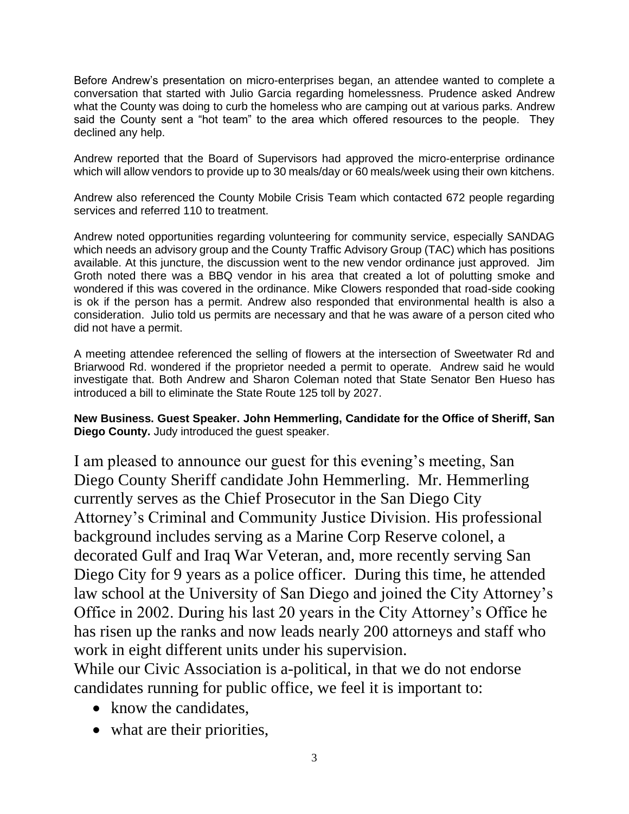Before Andrew's presentation on micro-enterprises began, an attendee wanted to complete a conversation that started with Julio Garcia regarding homelessness. Prudence asked Andrew what the County was doing to curb the homeless who are camping out at various parks. Andrew said the County sent a "hot team" to the area which offered resources to the people. They declined any help.

Andrew reported that the Board of Supervisors had approved the micro-enterprise ordinance which will allow vendors to provide up to 30 meals/day or 60 meals/week using their own kitchens.

Andrew also referenced the County Mobile Crisis Team which contacted 672 people regarding services and referred 110 to treatment.

Andrew noted opportunities regarding volunteering for community service, especially SANDAG which needs an advisory group and the County Traffic Advisory Group (TAC) which has positions available. At this juncture, the discussion went to the new vendor ordinance just approved. Jim Groth noted there was a BBQ vendor in his area that created a lot of polutting smoke and wondered if this was covered in the ordinance. Mike Clowers responded that road-side cooking is ok if the person has a permit. Andrew also responded that environmental health is also a consideration. Julio told us permits are necessary and that he was aware of a person cited who did not have a permit.

A meeting attendee referenced the selling of flowers at the intersection of Sweetwater Rd and Briarwood Rd. wondered if the proprietor needed a permit to operate. Andrew said he would investigate that. Both Andrew and Sharon Coleman noted that State Senator Ben Hueso has introduced a bill to eliminate the State Route 125 toll by 2027.

**New Business. Guest Speaker. John Hemmerling, Candidate for the Office of Sheriff, San Diego County.** Judy introduced the guest speaker.

I am pleased to announce our guest for this evening's meeting, San Diego County Sheriff candidate John Hemmerling. Mr. Hemmerling currently serves as the Chief Prosecutor in the San Diego City Attorney's Criminal and Community Justice Division. His professional background includes serving as a Marine Corp Reserve colonel, a decorated Gulf and Iraq War Veteran, and, more recently serving San Diego City for 9 years as a police officer. During this time, he attended law school at the University of San Diego and joined the City Attorney's Office in 2002. During his last 20 years in the City Attorney's Office he has risen up the ranks and now leads nearly 200 attorneys and staff who work in eight different units under his supervision.

While our Civic Association is a-political, in that we do not endorse candidates running for public office, we feel it is important to:

- know the candidates,
- what are their priorities,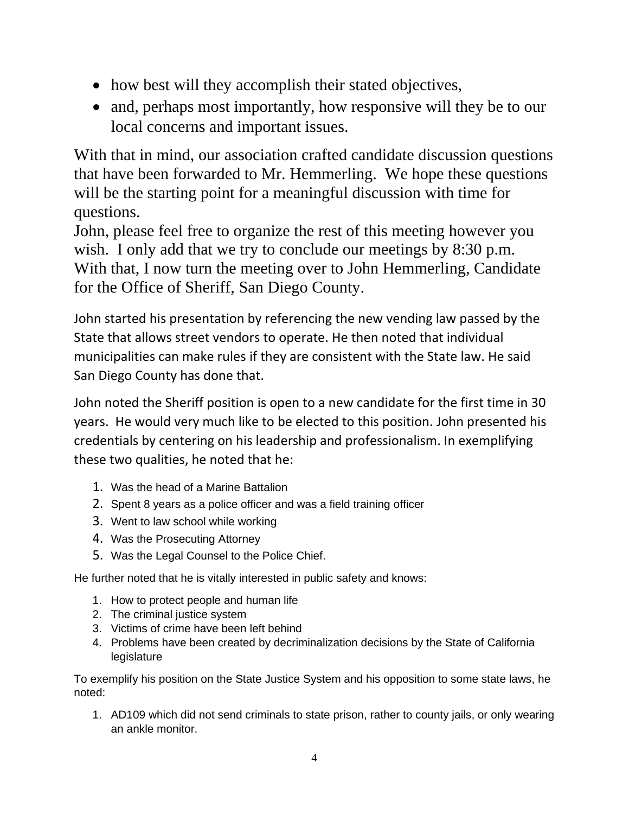- how best will they accomplish their stated objectives,
- and, perhaps most importantly, how responsive will they be to our local concerns and important issues.

With that in mind, our association crafted candidate discussion questions that have been forwarded to Mr. Hemmerling. We hope these questions will be the starting point for a meaningful discussion with time for questions.

John, please feel free to organize the rest of this meeting however you wish. I only add that we try to conclude our meetings by 8:30 p.m. With that, I now turn the meeting over to John Hemmerling, Candidate for the Office of Sheriff, San Diego County.

John started his presentation by referencing the new vending law passed by the State that allows street vendors to operate. He then noted that individual municipalities can make rules if they are consistent with the State law. He said San Diego County has done that.

John noted the Sheriff position is open to a new candidate for the first time in 30 years. He would very much like to be elected to this position. John presented his credentials by centering on his leadership and professionalism. In exemplifying these two qualities, he noted that he:

- 1. Was the head of a Marine Battalion
- 2. Spent 8 years as a police officer and was a field training officer
- 3. Went to law school while working
- 4. Was the Prosecuting Attorney
- 5. Was the Legal Counsel to the Police Chief.

He further noted that he is vitally interested in public safety and knows:

- 1. How to protect people and human life
- 2. The criminal justice system
- 3. Victims of crime have been left behind
- 4. Problems have been created by decriminalization decisions by the State of California legislature

To exemplify his position on the State Justice System and his opposition to some state laws, he noted:

1. AD109 which did not send criminals to state prison, rather to county jails, or only wearing an ankle monitor.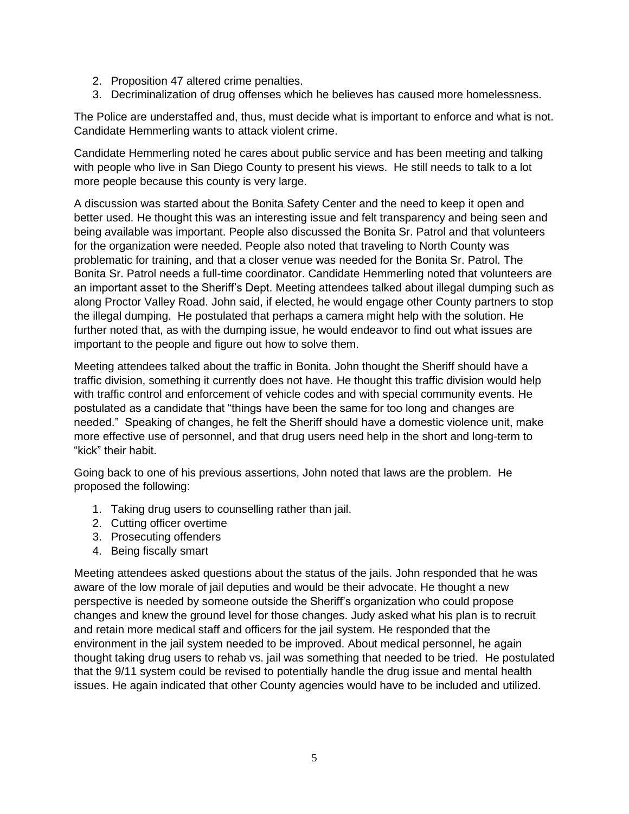- 2. Proposition 47 altered crime penalties.
- 3. Decriminalization of drug offenses which he believes has caused more homelessness.

The Police are understaffed and, thus, must decide what is important to enforce and what is not. Candidate Hemmerling wants to attack violent crime.

Candidate Hemmerling noted he cares about public service and has been meeting and talking with people who live in San Diego County to present his views. He still needs to talk to a lot more people because this county is very large.

A discussion was started about the Bonita Safety Center and the need to keep it open and better used. He thought this was an interesting issue and felt transparency and being seen and being available was important. People also discussed the Bonita Sr. Patrol and that volunteers for the organization were needed. People also noted that traveling to North County was problematic for training, and that a closer venue was needed for the Bonita Sr. Patrol. The Bonita Sr. Patrol needs a full-time coordinator. Candidate Hemmerling noted that volunteers are an important asset to the Sheriff's Dept. Meeting attendees talked about illegal dumping such as along Proctor Valley Road. John said, if elected, he would engage other County partners to stop the illegal dumping. He postulated that perhaps a camera might help with the solution. He further noted that, as with the dumping issue, he would endeavor to find out what issues are important to the people and figure out how to solve them.

Meeting attendees talked about the traffic in Bonita. John thought the Sheriff should have a traffic division, something it currently does not have. He thought this traffic division would help with traffic control and enforcement of vehicle codes and with special community events. He postulated as a candidate that "things have been the same for too long and changes are needed." Speaking of changes, he felt the Sheriff should have a domestic violence unit, make more effective use of personnel, and that drug users need help in the short and long-term to "kick" their habit.

Going back to one of his previous assertions, John noted that laws are the problem. He proposed the following:

- 1. Taking drug users to counselling rather than jail.
- 2. Cutting officer overtime
- 3. Prosecuting offenders
- 4. Being fiscally smart

Meeting attendees asked questions about the status of the jails. John responded that he was aware of the low morale of jail deputies and would be their advocate. He thought a new perspective is needed by someone outside the Sheriff's organization who could propose changes and knew the ground level for those changes. Judy asked what his plan is to recruit and retain more medical staff and officers for the jail system. He responded that the environment in the jail system needed to be improved. About medical personnel, he again thought taking drug users to rehab vs. jail was something that needed to be tried. He postulated that the 9/11 system could be revised to potentially handle the drug issue and mental health issues. He again indicated that other County agencies would have to be included and utilized.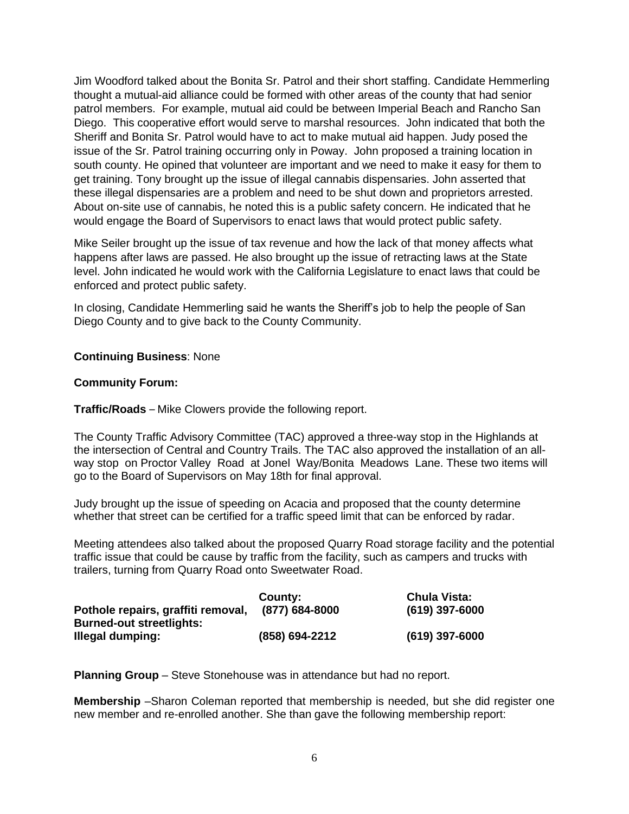Jim Woodford talked about the Bonita Sr. Patrol and their short staffing. Candidate Hemmerling thought a mutual-aid alliance could be formed with other areas of the county that had senior patrol members. For example, mutual aid could be between Imperial Beach and Rancho San Diego. This cooperative effort would serve to marshal resources. John indicated that both the Sheriff and Bonita Sr. Patrol would have to act to make mutual aid happen. Judy posed the issue of the Sr. Patrol training occurring only in Poway. John proposed a training location in south county. He opined that volunteer are important and we need to make it easy for them to get training. Tony brought up the issue of illegal cannabis dispensaries. John asserted that these illegal dispensaries are a problem and need to be shut down and proprietors arrested. About on-site use of cannabis, he noted this is a public safety concern. He indicated that he would engage the Board of Supervisors to enact laws that would protect public safety.

Mike Seiler brought up the issue of tax revenue and how the lack of that money affects what happens after laws are passed. He also brought up the issue of retracting laws at the State level. John indicated he would work with the California Legislature to enact laws that could be enforced and protect public safety.

In closing, Candidate Hemmerling said he wants the Sheriff's job to help the people of San Diego County and to give back to the County Community.

## **Continuing Business**: None

#### **Community Forum:**

**Traffic/Roads** – Mike Clowers provide the following report.

The County Traffic Advisory Committee (TAC) approved a three-way stop in the Highlands at the intersection of Central and Country Trails. The TAC also approved the installation of an allway stop on Proctor Valley Road at Jonel Way/Bonita Meadows Lane. These two items will go to the Board of Supervisors on May 18th for final approval.

Judy brought up the issue of speeding on Acacia and proposed that the county determine whether that street can be certified for a traffic speed limit that can be enforced by radar.

Meeting attendees also talked about the proposed Quarry Road storage facility and the potential traffic issue that could be cause by traffic from the facility, such as campers and trucks with trailers, turning from Quarry Road onto Sweetwater Road.

|                                    | <b>County:</b> | <b>Chula Vista:</b> |
|------------------------------------|----------------|---------------------|
| Pothole repairs, graffiti removal, | (877) 684-8000 | $(619)$ 397-6000    |
| <b>Burned-out streetlights:</b>    |                |                     |
| Illegal dumping:                   | (858) 694-2212 | $(619)$ 397-6000    |

**Planning Group** – Steve Stonehouse was in attendance but had no report.

**Membership** –Sharon Coleman reported that membership is needed, but she did register one new member and re-enrolled another. She than gave the following membership report: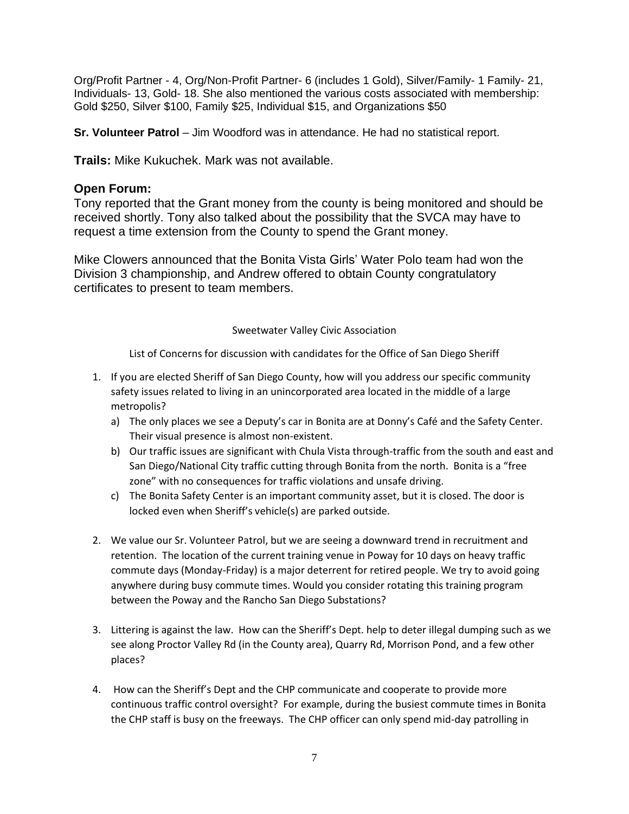Org/Profit Partner - 4, Org/Non-Profit Partner- 6 (includes 1 Gold), Silver/Family- 1 Family- 21, Individuals- 13, Gold- 18. She also mentioned the various costs associated with membership: Gold \$250, Silver \$100, Family \$25, Individual \$15, and Organizations \$50

**Sr. Volunteer Patrol** – Jim Woodford was in attendance. He had no statistical report.

**Trails:** Mike Kukuchek. Mark was not available.

# **Open Forum:**

Tony reported that the Grant money from the county is being monitored and should be received shortly. Tony also talked about the possibility that the SVCA may have to request a time extension from the County to spend the Grant money.

Mike Clowers announced that the Bonita Vista Girls' Water Polo team had won the Division 3 championship, and Andrew offered to obtain County congratulatory certificates to present to team members.

## Sweetwater Valley Civic Association

List of Concerns for discussion with candidates for the Office of San Diego Sheriff

- 1. If you are elected Sheriff of San Diego County, how will you address our specific community safety issues related to living in an unincorporated area located in the middle of a large metropolis?
	- a) The only places we see a Deputy's car in Bonita are at Donny's Café and the Safety Center. Their visual presence is almost non-existent.
	- b) Our traffic issues are significant with Chula Vista through-traffic from the south and east and San Diego/National City traffic cutting through Bonita from the north. Bonita is a "free zone" with no consequences for traffic violations and unsafe driving.
	- c) The Bonita Safety Center is an important community asset, but it is closed. The door is locked even when Sheriff's vehicle(s) are parked outside.
- 2. We value our Sr. Volunteer Patrol, but we are seeing a downward trend in recruitment and retention. The location of the current training venue in Poway for 10 days on heavy traffic commute days (Monday-Friday) is a major deterrent for retired people. We try to avoid going anywhere during busy commute times. Would you consider rotating this training program between the Poway and the Rancho San Diego Substations?
- 3. Littering is against the law. How can the Sheriff's Dept. help to deter illegal dumping such as we see along Proctor Valley Rd (in the County area), Quarry Rd, Morrison Pond, and a few other places?
- 4. How can the Sheriff's Dept and the CHP communicate and cooperate to provide more continuous traffic control oversight? For example, during the busiest commute times in Bonita the CHP staff is busy on the freeways. The CHP officer can only spend mid-day patrolling in